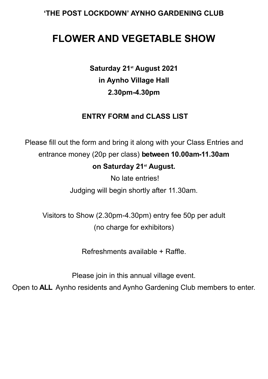# **'THE POST LOCKDOWN' AYNHO GARDENING CLUB**

# **FLOWER AND VEGETABLE SHOW**

**Saturday 21st August 2021 in Aynho Village Hall 2.30pm-4.30pm**

# **ENTRY FORM and CLASS LIST**

Please fill out the form and bring it along with your Class Entries and entrance money (20p per class) **between 10.00am-11.30am on Saturday 21st August.** 

No late entries!

Judging will begin shortly after 11.30am.

Visitors to Show (2.30pm-4.30pm) entry fee 50p per adult (no charge for exhibitors)

Refreshments available + Raffle.

Please join in this annual village event.

Open to **ALL** Aynho residents and Aynho Gardening Club members to enter.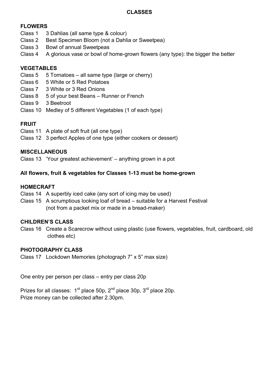#### **CLASSES**

### **FLOWERS**

- Class 1 3 Dahlias (all same type & colour)
- Class 2 Best Specimen Bloom (not a Dahlia or Sweetpea)
- Class 3 Bowl of annual Sweetpeas
- Class 4 A glorious vase or bowl of home-grown flowers (any type): the bigger the better

## **VEGETABLES**

- Class 5 5 Tomatoes all same type (large or cherry)
- Class 6 5 White or 5 Red Potatoes
- Class 7 3 White or 3 Red Onions
- Class 8 5 of your best Beans Runner or French
- Class 9 3 Beetroot
- Class 10 Medley of 5 different Vegetables (1 of each type)

# **FRUIT**

- Class 11 A plate of soft fruit (all one type)
- Class 12 3 perfect Apples of one type (either cookers or dessert)

#### **MISCELLANEOUS**

Class 13 'Your greatest achievement' – anything grown in a pot

#### **All flowers, fruit & vegetables for Classes 1-13 must be home-grown**

#### **HOMECRAFT**

- Class 14 A superbly iced cake (any sort of icing may be used)
- Class 15 A scrumptious looking loaf of bread suitable for a Harvest Festival (not from a packet mix or made in a bread-maker)

#### **CHILDREN'S CLASS**

Class 16 Create a Scarecrow without using plastic (use flowers, vegetables, fruit, cardboard, old clothes etc)

#### **PHOTOGRAPHY CLASS**

Class 17 Lockdown Memories (photograph 7" x 5" max size)

One entry per person per class – entry per class 20p

Prizes for all classes:  $1<sup>st</sup>$  place 50p,  $2<sup>nd</sup>$  place  $30p$ ,  $3<sup>rd</sup>$  place 20p. Prize money can be collected after 2.30pm.